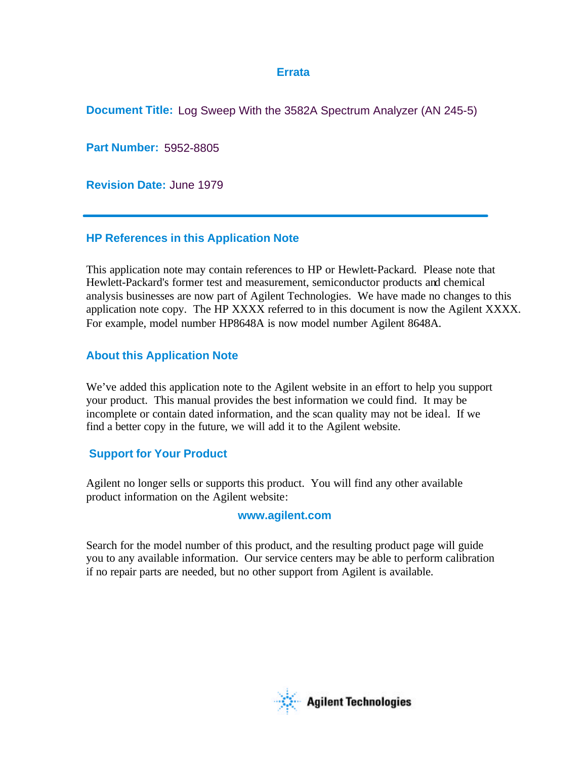## **Errata**

**Document Title:** Log Sweep With the 3582A Spectrum Analyzer (AN 245-5)

**Part Number:** 5952-8805

**Revision Date:** June 1979

# **HP References in this Application Note**

This application note may contain references to HP or Hewlett-Packard. Please note that Hewlett-Packard's former test and measurement, semiconductor products and chemical analysis businesses are now part of Agilent Technologies. We have made no changes to this application note copy. The HP XXXX referred to in this document is now the Agilent XXXX. For example, model number HP8648A is now model number Agilent 8648A.

# **About this Application Note**

We've added this application note to the Agilent website in an effort to help you support your product. This manual provides the best information we could find. It may be incomplete or contain dated information, and the scan quality may not be ideal. If we find a better copy in the future, we will add it to the Agilent website.

# **Support for Your Product**

Agilent no longer sells or supports this product. You will find any other available product information on the Agilent website:

# **www.agilent.com**

Search for the model number of this product, and the resulting product page will guide you to any available information. Our service centers may be able to perform calibration if no repair parts are needed, but no other support from Agilent is available.

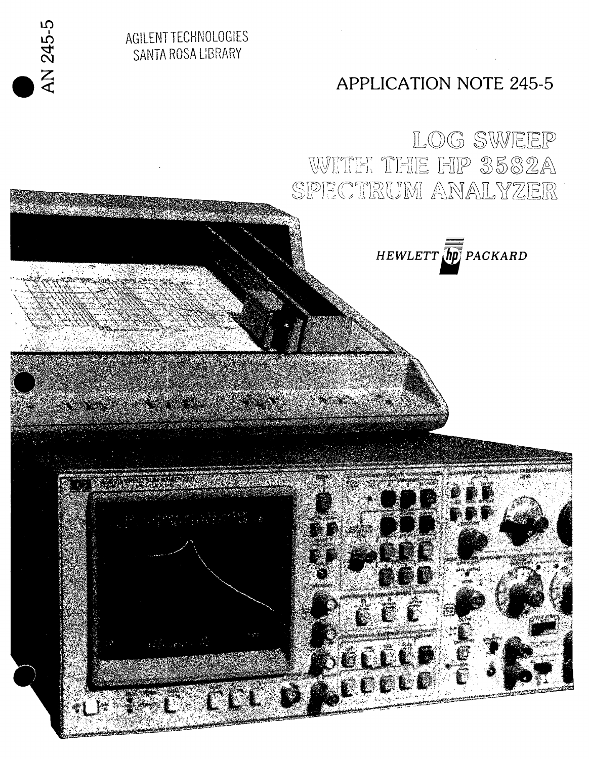

AN 245-5

囃

LOG SWEEP WITH THE HIP 3582A SPECTRUM ANALYZER



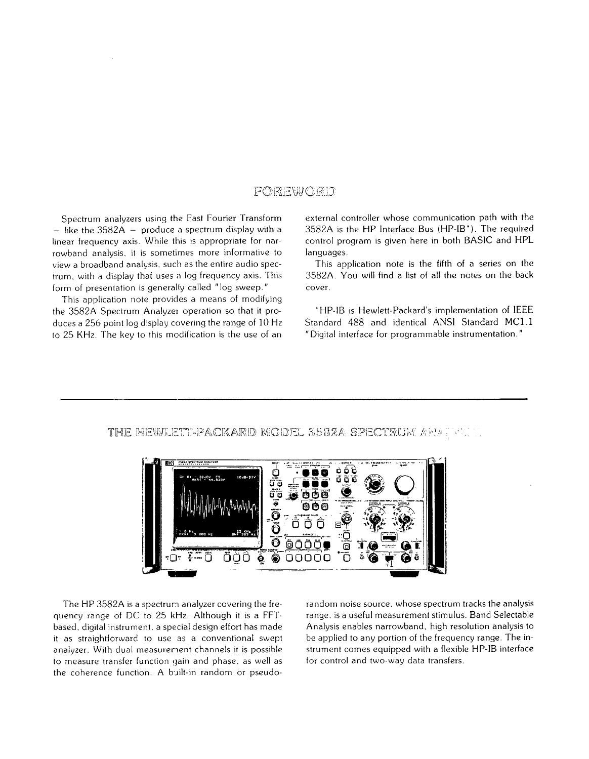# FOREWORD

Spectrum analyzers using the Fast Fourier Transform  $-$  like the 3582A  $-$  produce a spectrum display with a linear frequency axis. While this is appropriate for narrowband analysis, it is sometimes more informative to view a broadband analysis, such as the entire audio spectrum, with a display that uses a log frequency axis. This form of presentation is generally called "log sweep."

This application note provides a means of modifying the 3582A Spectrum Analyzer operation so that it produces a 256 point log display covering the range of 10 Hz to 25 KHz. The key to this modification is the use of an

external controller whose communication path with the 3582A is the HP Interface Bus (HP-IB\*). The required control program is given here in both BASIC and HPL languages.

This application note is the fifth of a series on the 3582A. You will find a list of all the notes on the back cover.

\*HP-IB is Hewlett-Packard's implementation of IEEE Standard 488 and identical ANSI Standard MC1.1 "Digital interface for programmable instrumentation."

#### THE HEWLETT-PACKARD MODEL 3582A SPECTRUM ARAT



The HP 3582A is a spectrum analyzer covering the frequency range of DC to 25 kHz. Although it is a FFTbased, digital instrument, a special design effort has made it as straightforward to use as a conventional swept analyzer. With dual measurement channels it is possible to measure transfer function gain and phase, as well as the coherence function. A built-in random or pseudorandom noise source, whose spectrum tracks the analysis range, is a useful measurement stimulus. Band Selectable Analysis enables narrowband, high resolution analysis to be applied to any portion of the frequency range. The instrument comes equipped with a flexible HP-IB interface for control and two-way data transfers.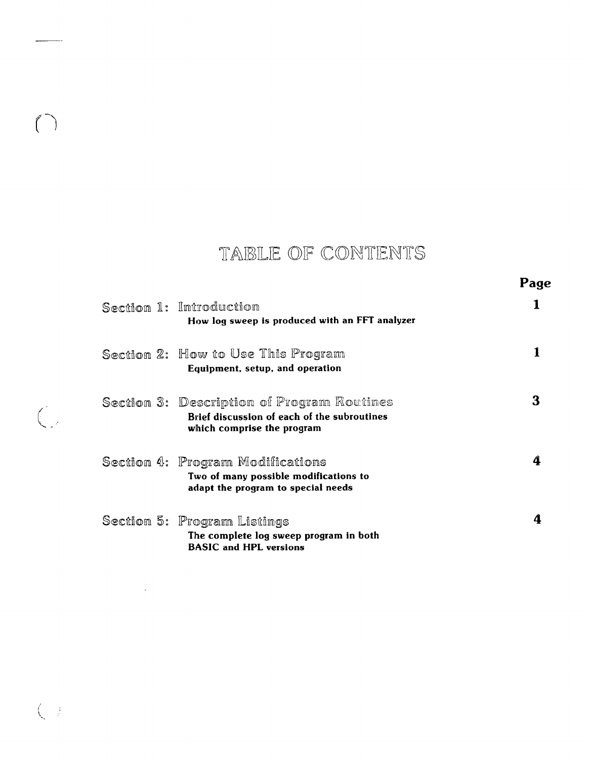# TABLE OF CONTENTS

|                                                                                                                         | Page |
|-------------------------------------------------------------------------------------------------------------------------|------|
| Section 1: Introduction<br>How log sweep is produced with an FFT analyzer                                               |      |
| Section 2: How to Use This Program<br>Equipment, setup, and operation                                                   |      |
| Section 3: Description of Program Routines<br>Brief discussion of each of the subroutines<br>which comprise the program |      |
| Section 4: Program Modifications<br>Two of many possible modifications to<br>adapt the program to special needs         | 4    |
| Section 5: Program Listings<br>The complete log sweep program in both                                                   |      |

**BASIC** and HPL versions

 $\ddot{\phantom{a}}$ 

 $\bigcap$ 

 $\bigcup$ 

 $\Big(\begin{array}{cc} \cdot & \cdot \\ \cdot & \cdot \end{array}\Big)$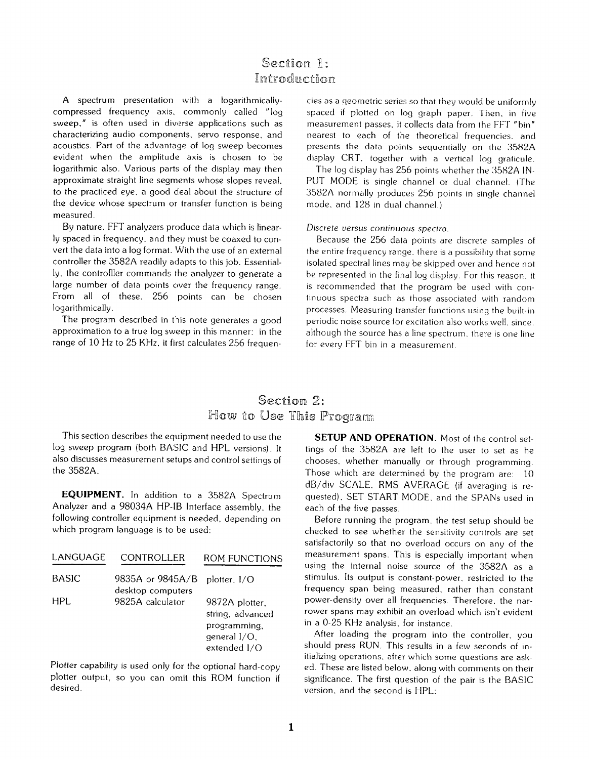# Section 1: Introduction

A spectrum presentation with a logarithmicallycompressed frequency axis, commonly called "log sweep," is often used in diverse applications such as characterizing audio components, servo response, and acoustics. Part of the advantage of log sweep becomes evident when the amplitude axis is chosen to be logarithmic also. Various parts of the display may then approximate straight line segments whose slopes reveal, to the practiced eye, a good deal about the structure of the device whose spectrum or transfer function is being measured.

By nature, FFT analyzers produce data which is linearly spaced in frequency, and they must be coaxed to convert the data into a log format. With the use of an external controller the 3582A readily adapts to this job. Essentially, the controfller commands the analyzer to generate a large number of data points over the frequency range. From all of these, 256 points can be chosen logarithmically.

The program described in this note generates a good approximation to a true log sweep in this manner: in the range of 10 Hz to 25 KHz, it first calculates 256 frequencies as a geometric series so that they would be uniformly spaced if plotted on log graph paper. Then, in five measurement passes, it collects data from the FFT "bin" nearest to each of the theoretical frequencies, and presents the data points sequentially on the 3582A display CRT, together with a vertical log graticule.

The log display has 256 points whether the 3582A IN-PUT MODE is single channel or dual channel. (The 3582A normally produces 256 points in single channel mode, and 128 in dual channel.)

#### Discrete versus continuous spectra.

Because the 256 data points are discrete samples of the entire frequency range, there is a possibility that some isolated spectral lines may be skipped over and hence not be represented in the final log display. For this reason, it is recommended that the program be used with continuous spectra such as those associated with random processes. Measuring transfer functions using the built-in periodic noise source for excitation also works well, since. although the source has a line spectrum, there is one line for every FFT bin in a measurement.

# Section 2: How to Use This Program

This section describes the equipment needed to use the log sweep program (both BASIC and HPL versions). It also discusses measurement setups and control settings of the 3582A.

**EQUIPMENT.** In addition to a 3582A Spectrum Analyzer and a 98034A HP-IB Interface assembly, the following controller equipment is needed, depending on which program language is to be used:

| LANGUAGE     | <b>CONTROLLER</b>                     | ROM FUNCTIONS                                   |
|--------------|---------------------------------------|-------------------------------------------------|
| <b>BASIC</b> | 9835A or 9845A/B<br>desktop computers | plotter, $I/O$                                  |
| HPL.         | 9825A calculator                      | 9872A plotter,<br>string, advanced              |
|              |                                       | programming,<br>general $I/O$ .<br>extended I/O |

Plotter capability is used only for the optional hard-copy plotter output, so you can omit this ROM function if desired.

**SETUP AND OPERATION.** Most of the control settings of the 3582A are left to the user to set as he chooses. whether manually or through programming. Those which are determined by the program are: 10 dB/div SCALE. RMS AVERAGE (if averaging is requested). SET START MODE, and the SPANs used in each of the five passes.

Before running the program, the test setup should be checked to see whether the sensitivity controls are set satisfactorily so that no overload occurs on any of the measurement spans. This is especially important when using the internal noise source of the 3582A as a stimulus. Its output is constant-power, restricted to the frequency span being measured, rather than constant power-density over all frequencies. Therefore, the narrower spans may exhibit an overload which isn't evident in a 0-25 KHz analysis, for instance.

After loading the program into the controller, you should press RUN. This results in a few seconds of initializing operations, after which some questions are asked. These are listed below, along with comments on their significance. The first question of the pair is the BASIC version, and the second is HPL.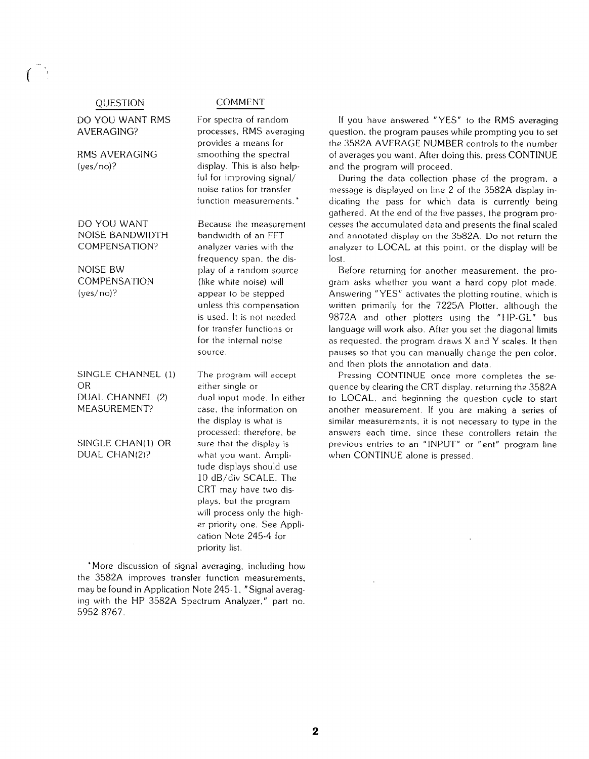#### QUESTION

DO YOU WANT RMS AVERAGING?

RMS AVERAGING  $( $\frac{1}{2}$ )$ 

DO YOU WANT **NOISE BANDWIDTH** COMPENSATION?

**NOISE BW** COMPENSATION  $( $\vee$ es/no)?$ 

SINGLE CHANNEL (1) **OR** DUAL CHANNEL (2) MEASUREMENT?

SINGLE CHAN(1) OR DUAL CHAN(2)?

**COMMENT** 

For spectra of random processes, RMS averaging provides a means for smoothing the spectral display. This is also helpful for improving signal/ noise ratios for transfer function measurements.<sup>\*</sup>

Because the measurement bandwidth of an FFT analyzer varies with the frequency span, the display of a random source (like white noise) will appear to be stepped unless this compensation is used. It is not needed for transfer functions or for the internal noise source.

The program will accept either single or dual input mode. In either case, the information on the display is what is processed: therefore, be sure that the display is what you want. Amplitude displays should use 10 dB/div SCALE. The CRT may have two displays, but the program will process only the higher priority one. See Application Note 245-4 for priority list.

\*More discussion of signal averaging, including how the 3582A improves transfer function measurements, may be found in Application Note 245-1, "Signal averaging with the HP 3582A Spectrum Analyzer," part no. 5952-8767.

If you have answered "YES" to the RMS averaging question, the program pauses while prompting you to set the 3582A AVERAGE NUMBER controls to the number of averages you want. After doing this, press CONTINUE and the program will proceed.

During the data collection phase of the program, a message is displayed on line 2 of the 3582A display indicating the pass for which data is currently being gathered. At the end of the five passes, the program processes the accumulated data and presents the final scaled and annotated display on the 3582A. Do not return the analyzer to LOCAL at this point, or the display will be lost.

Before returning for another measurement, the program asks whether you want a hard copy plot made. Answering "YES" activates the plotting routine, which is written primarily for the 7225A Plotter, although the 9872A and other plotters using the "HP-GL" bus language will work also. After you set the diagonal limits as requested, the program draws X and Y scales. It then pauses so that you can manually change the pen color. and then plots the annotation and data.

Pressing CONTINUE once more completes the sequence by clearing the CRT display, returning the 3582A to LOCAL, and beginning the question cycle to start another measurement. If you are making a series of similar measurements, it is not necessary to type in the answers each time, since these controllers retain the previous entries to an "INPUT" or "ent" program line when CONTINUE alone is pressed.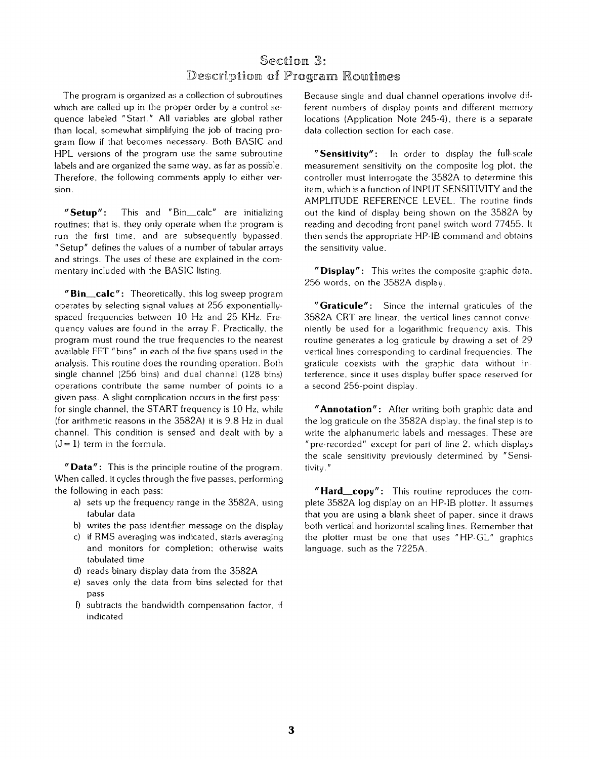# Section 3: Description of Program Routines

The program is organized as a collection of subroutines which are called up in the proper order by a control sequence labeled "Start." All variables are global rather than local, somewhat simplifying the job of tracing program flow if that becomes necessary. Both BASIC and HPL versions of the program use the same subroutine labels and are organized the same way, as far as possible. Therefore, the following comments apply to either version.

This and "Bin\_calc" are initializing  $"$ Setup": routines; that is, they only operate when the program is run the first time, and are subsequently bypassed. "Setup" defines the values of a number of tabular arrays and strings. The uses of these are explained in the commentary included with the BASIC listing.

"Bin\_calc": Theoretically, this log sweep program operates by selecting signal values at 256 exponentiallyspaced frequencies between 10 Hz and 25 KHz. Frequency values are found in the array F. Practically, the program must round the true frequencies to the nearest available FFT "bins" in each of the five spans used in the analysis. This routine does the rounding operation. Both single channel (256 bins) and dual channel (128 bins) operations contribute the same number of points to a given pass. A slight complication occurs in the first pass: for single channel, the START frequency is 10 Hz, while (for arithmetic reasons in the 3582A) it is 9.8 Hz in dual channel. This condition is sensed and dealt with by a  $(J = 1)$  term in the formula.

"Data": This is the principle routine of the program. When called, it cycles through the five passes, performing the following in each pass:

- a) sets up the frequency range in the 3582A, using tabular data
- b) writes the pass identifier message on the display
- c) if RMS averaging was indicated, starts averaging and monitors for completion; otherwise waits tabulated time
- d) reads binary display data from the 3582A
- e) saves only the data from bins selected for that pass
- f) subtracts the bandwidth compensation factor, if indicated

Because single and dual channel operations involve different numbers of display points and different memory locations (Application Note 245-4), there is a separate data collection section for each case.

"Sensitivity": In order to display the full-scale measurement sensitivity on the composite log plot, the controller must interrogate the 3582A to determine this item, which is a function of INPUT SENSITIVITY and the AMPLITUDE REFERENCE LEVEL. The routine finds out the kind of display being shown on the 3582A by reading and decoding front panel switch word 77455. It then sends the appropriate HP-IB command and obtains the sensitivity value.

"Display": This writes the composite graphic data, 256 words, on the 3582A display.

"Graticule": Since the internal graticules of the 3582A CRT are linear, the vertical lines cannot conveniently be used for a logarithmic frequency axis. This routine generates a log graticule by drawing a set of 29 vertical lines corresponding to cardinal frequencies. The graticule coexists with the graphic data without interference, since it uses display buffer space reserved for a second 256-point display.

"Annotation": After writing both graphic data and the log graticule on the 3582A display, the final step is to write the alphanumeric labels and messages. These are "pre-recorded" except for part of line 2, which displays the scale sensitivity previously determined by "Sensitivity."

"Hard\_copy": This routine reproduces the complete 3582A log display on an HP-IB plotter. It assumes that you are using a blank sheet of paper, since it draws both vertical and horizontal scaling lines. Remember that the plotter must be one that uses "HP-GL" graphics language, such as the 7225A.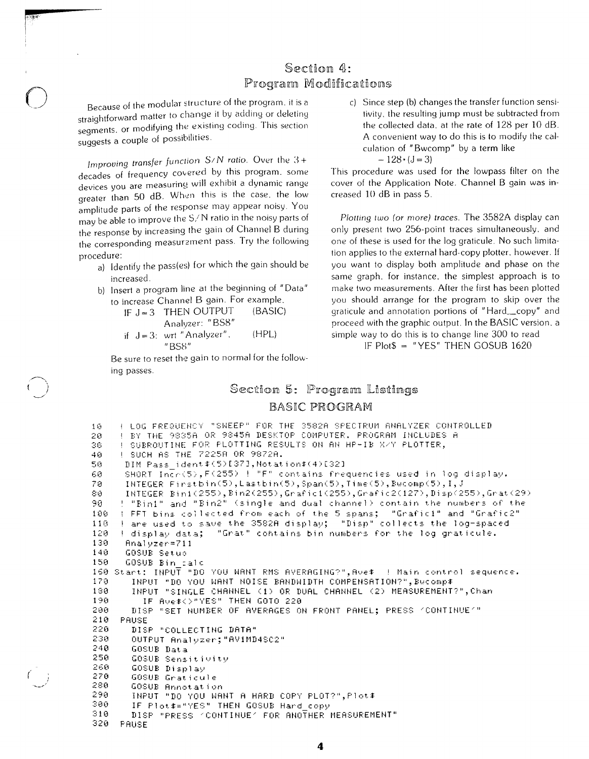# Section 4: Program Modifications

Because of the modular structure of the program, it is a straightforward matter to change it by adding or deleting segments, or modifying the existing coding. This section suggests a couple of possibilities.

Improving transfer function  $S/N$  ratio. Over the  $3+$ decades of frequency covered by this program, some devices you are measuring will exhibit a dynamic range greater than 50 dB. When this is the case, the low amplitude parts of the response may appear noisy. You may be able to improve the S/N ratio in the noisy parts of the response by increasing the gain of Channel B during the corresponding measurement pass. Try the following procedure:

a) Identify the pass(es) for which the gain should be increased.

b) Insert a program line at the beginning of "Data" to increase Channel B gain. For example,

IF  $J = 3$  THEN OUTPUT (BASIC)

- Analyzer: "BS8"
- if  $J = 3$ : wrt "Analyzer".  $(HPL)$  $"BSS"$

Be sure to reset the gain to normal for the following passes.

c) Since step (b) changes the transfer function sensitivity, the resulting jump must be subtracted from the collected data, at the rate of 128 per 10 dB. A convenient way to do this is to modify the calculation of "Bwcomp" by a term like  $-128 \cdot (J=3)$ 

This procedure was used for the lowpass filter on the cover of the Application Note. Channel B gain was increased 10 dB in pass 5.

Plotting two (or more) traces. The 3582A display can only present two 256-point traces simultaneously, and one of these is used for the log graticule. No such limitation applies to the external hard-copy plotter, however. If you want to display both amplitude and phase on the same graph, for instance, the simplest approach is to make two measurements. After the first has been plotted you should arrange for the program to skip over the graticule and annotation portions of "Hard\_copy" and proceed with the graphic output. In the BASIC version, a simple way to do this is to change line 300 to read

IF Plot\$ = "YES" THEN GOSUB 1620

# Section 5: Program Listings **BASIC PROGRAM**

```
( LOG FREQUENCY "SWEEP" FOR THE 3582A SPECTRUM ANALYZER CONTROLLED
1.9BY THE 9835A OR 9845A DESKTOP COMPUTER. PROGRAM INCLUDES A
26
     \mathbf{I}SUBROUTINE FOR PLOTTING RESULTS ON AN HP-IB X/Y PLOTTER,
36
     ! SUCH AS THE 72258 OR 9872A.
40DIM Pass ident#(5)[37], Notation#(4)[32]
50
      SHORT Incr(5), F(255) ! "F" contains frequencies used in log display.
6070
      INTEGER Finstbin(5), Lastbin(5), Span(5), Time(5), Bucomp(5), I, J
      INTEGER Bin1(255), Bin2(255), Grafic1(255), Grafic2(127), Disp(255), Grat(29)
ΘØ
     ! "Bin1" and "Bin2" (single and dual channel) contain the numbers of the
90
                                                       "Grafiel" and "Grafic2"
100
     ! FFT bins collected from each of the 5 spans;
     ! are used to save the 3582A display; "Disp" collects the log-spaced
110
                      "Grat" contains bin numbers for the log graticule.
120
     ! display data;
130
      Analyzer=711
      GOSUB Setuo
140
150
      GOSUB Bin_calc
160 Start: INPUT "DO YOU WANT RMS AVERAGING?", Ave* ! Main control sequence.
       INPUT "DO YOU WANT NOISE BANDWIDTH COMPENSATION?", Bucomp$
170
180
       INPUT "SINGLE CHANNEL (1) OR DUAL CHANNEL (2) MEASUREMENT?", Chan
190
         IF Ave*<>"YES" THEN GOTO 220
200
       DISP "SET NUMBER OF AVERAGES ON FRONT PANEL; PRESS 'CONTINUE'"
210
     PAUSE
22M
       DISP "COLLECTING DATA"
230
       OUTPUT Analyzer: "AViMD4SC2"
240
       GOSUB Data
250
       GOSUB Sensitivity
260
       GOSUB Display
270
       GOSUB Graticule
280
       GOSUB Annotation
290
       INPUT "DO YOU WANT A HARB COPY PLOT?", Plot$
300
       IF Plot #="YES" THEN GOSUB Hand copy
310DISP "PRESS 'CONTINUE' FOR ANOTHER MEASUREMENT"
320
     PAUSE
```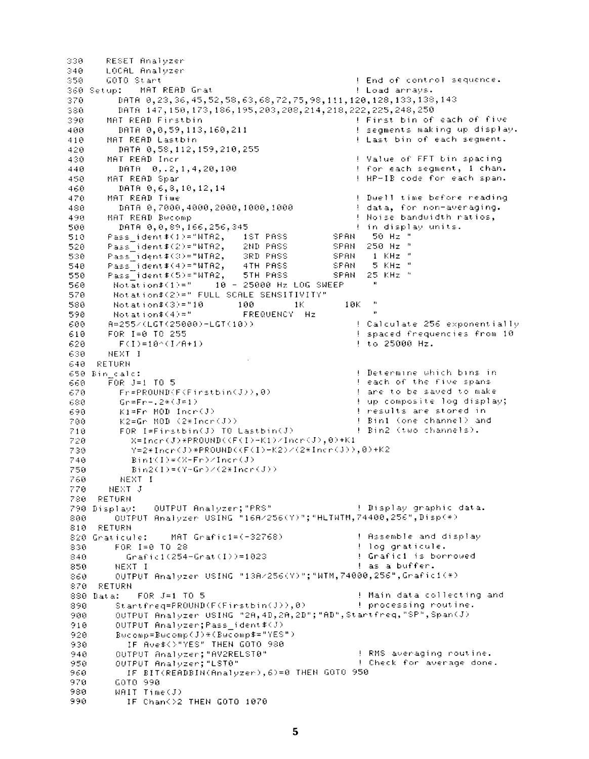```
330
       RESET Analyzer
       LOCAL Analyzer
340
350
                                                      ! End of control sequence.
       GOTO Start
360 Setup: MAT READ Grat
                                                      ! Load arrays.
         DATA 0, 23, 36, 45, 52, 58, 63, 68, 72, 75, 98, 111, 120, 128, 133, 138, 143
370
         DATA 147, 158, 173, 186, 195, 203, 208, 214, 218, 222, 225, 248, 250
380
390
       MAT READ Firstbin
                                                      I First bin of each of five
                                                      ! segments making up display.
400DATA 0,0,59,113,160,211
410
       MAT READ Lastbin
                                                      I hast bin of each sequent.
         DATA 0.58.112.159.210.255
420
                                                      ! Value of FFT bin spacing
430
       MAT READ Incr
                                                      ! for each segment, I chan.
         DATA 0, 2, 1, 4, 20, 100
440! HP-IB code for each span.
450MAT READ Spar
460DATA 0,6,8,10,12,14
                                                      ! Duell time before reading
470
       MAT READ Time
                                                      ! data, for non-averaging.
480
         DATA 0.7000.4000.2000.1000.1000
                                                      ! Noise bandwidth ratios,
490
       MAT READ Bucomp
         DATA 0,0,89,166,256,345
                                                      f in display units.
500
       Pass ident#(1)="WTA2, 1ST PASS
                                                 SPAN.
                                                        -50 Hz^{-n}510
                                                        250 Hz^{-6}Pass\bar{1}dent\pounds(2)="WTR2,528
                               2ND PASS
                                                 SPAN
                                                        -1 KHz<sup>-9</sup>
       Pass\ident\pmb{\ast}(3)="WTA2,
                               SRD PASS
                                                 SPAN
530
                                                       -5 KHz ^{\circ}540
       Pass ident#(4)="WTR2,
                               4TH PASS
                                                 SPAN
                               STH PASS
                                                 SPAN 25 KHz<sup>"</sup>
550
       Pass ident#(5)="WTA2,
        Notation *(1) =" 10 - 25000 Hz LOG SWEEP
560
        Notation$(2)=" FULL SCALE SENSITIVITY"
570
                                                        \sim 14
580
        Notation £(3)=10100 -\sim 1K10K\ddot{ }Notation$(4)="
                                FREQUENCY Hz
590
600
       A=255/(LGT(25000)-LGT(10))
                                                      ! Calculate 256 exponentially
610
       FOR 1=0 TO 255
                                                      ! spaced frequencies from 10
                                                      ! to 25000 Hz.
        F(I)=10^(I/H+1)620
       NEXT I
630
640 RETURN
                                                      ! Determine which bins in
650 Bin calc:
       FOR J=1 TO 5
                                                      ! each of the five spans
660
         Fr = PROUND(F/F) rstbin(J),0)
                                                      I are to be saved to make
670
         Gr=Fr-2*(J=1)I up composite log display;
680
         K1 = Fr MOD Incr(J)
                                                      ! results are stored in
690700
         K2 = Gr MOD (2*Incr(J))
                                                      ! Bin1 (one channel) and
710
         FOR I=Firstbin(J) TO Lastbin(J)
                                                      ! Bin2 (two channels).
           X=Inter(J)*PROUND(<F(I)-K1)/Incr(J), @)+K1720
           Y=2*Incr(J)*PROUND((F(I)-K2)/(2*Incr(J)),0)+K2
730
           Binf(I) = (X-Fr)/Iner(J)740
750
           Bin2(I)=(Y-Gr)/(2*Incr(J))760
         NEXT I
770
       NEXT J
780 RETURN
790 Display: 00TPUT Analyzer; "PRS"
                                                    1 Display graphic data.
        OUTPUT Analyzer USING "16A/256(Y)"; "HETWTM, 74480, 256", Disp(*)
888.
     RETURN
818.! Assemble and display
820 Graticule:
                  MAT Grafici=(-32768)
        FOR 1=0 TO 28
830.
                                                      ! log graticule.
                                                      ! Grafic1 is borrowed
840
          Grafic1(254-Grat(I))=1023! as a buffer.
850
        NEXT I
         OUTPUT Analyzer USING "13A/256(Y)"; "WTM, 74000, 256", Grafic1(*)
860
870 RETURN
880 Data: FOR J=1 TO 5
                                                      ! Main data collecting and
890
        StartFreq = PROUND(F(Finstein(J)), 0)I processing routine.
         OUTPUT Analyzer USING "2A, 4D, 2A, 2D"; "AD", Stantfreq, "SP", Span(J)
988
910
         OUTPUT Analyzer: Pass ident#(J)
         Bwcomp=Bwcomp(J)*(Bwcomp$="YES")
920
           IF Ave$<>"YES" THEN GOTO 980
930.
                                                      ! RMS averaging routine.
940
         OUTPUT Analyzer; "AV2RELST0"
950
         OUTPUT Analyzer; "LST0"
                                                      ! Check for average done.
           IF BIT(READBIN(Analyzer), 6)=0 THEN GOTO 950
960.
        GOTO 990
970
        WAIT Time(J)
980
          IF Chan()2 THEN GOTO 1070
990
```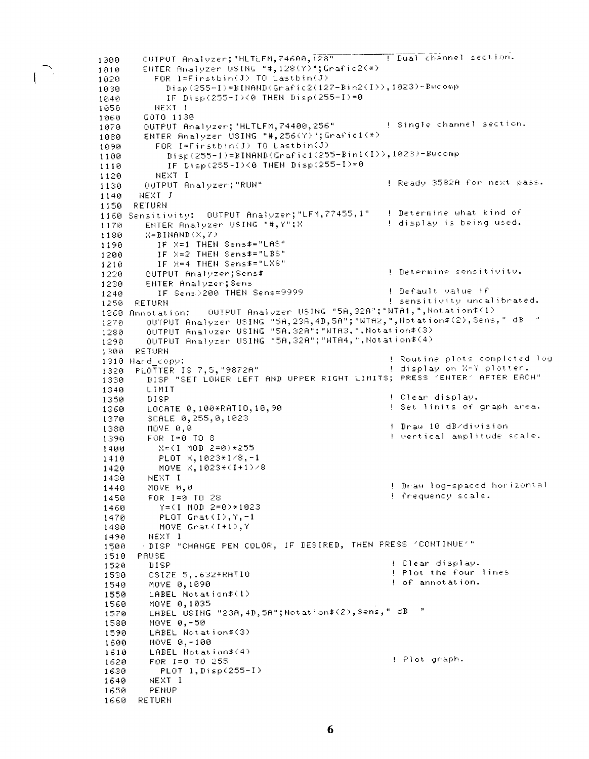OUTPUT Analyzer; "HLTLFM, 74600, 128" [Dual channel section. 1888 ENTER Bnalvzer USING "# 128(Y)";Grafic2(\*)  $1010$ FOR  $l = \text{Firstbin}(J)$  TO  $\text{Lastbin}(J)$ 1020  $\text{Bisp}(255-1)=\text{BINRND}(Grafic2(127-Binz(I))), 1023)=\text{Bucomp}$ 1030 IF Disp(255-I)(0 THEN Disp(255-I)=0 1040 1050 NEXT I GOTO 1130 1060 **1.** Single channel section. OUTPUT Analyzer; "HLTLFM, 74400, 256" 1070 ENTER Analyzer USING "#, 256(Y)"; Grafici(\*) 1080 FOR I=Firstbin(J) TO Lastbin(J) 1090  $Disp(255-1)=BIMRND(Gradientc1(255-Bini(1)),1023)-Bwcomp$ 1100 IF Disp(255-I)(0 THEN Disp(255-I)=0 1110 1120 NEXT I ! Ready 3582A for next pass. OUTPUT Analyzer: "RUN" 1130  $1140$ NEXT J 1150 RETURN 1160 Sensitivity: OUTPUT Analyzer; "LFM, 77455, 1" I Determine what kind of ENTER Analyzer USING "#.Y":X ! display is being used. 1170  $X = B1$ NAND $(X, 7)$ 1180 IF X=1 THEN Sens\$="LAS" 1190 IF X=2 THEN Sens#="LBS" 1200 IF X=4 THEN Sens#="LXS" 1210 I Determine sensitivity. OUTPUT Analyzer; Sens# 1220  $1230$ ENTER Analyzer:Sens IF Sens $>200$  THEN Sens=9999 ! Default value if  $1240$ ! sensitivity uncalibrated. 1250 RETURN 1260 Annotation: OUTPUT Analyzer USING "5A, 32A"; "WTA1, ", Notation \$(1) output Analyzer USING "5A, 23A, 4D, 5A"; "WIA2, ", Notation\$(2), Sens, " dB "<br>output Analyzer USING "5A, 32A": "WIA3, ", Notation\$(3)  $1270 -$ 1280 OUTPUT Analyzer USING "58,328"; "WTA4, ", Notation\$(4) 1290 1300 RETURN ! Routine plots completed log 1310 Hand copy: ! display on X-Y plotter. 1320 PLOTTER IS 7,5, "9872A" DISP "SET LOWER LEFT AND UPPER RIGHT LIMITS; PRESS 'ENTER' AFTER EACH" 1330 LIMIT 1340 ! Clear display. 1350 **DISP** ! Set limits of graph area. LOCATE 0,100\*RATI0,10,90 1360 1370 SCALE 0, 255,0,1023 ! Draw 10 dB/division MOVE 0.0 1380 ! vertical amplitude scale. 1390 FOR 1=0 TO 8 1400 X=(I MOD 2=0)\*255 PLOT X, 1023\*1/8, -1 1410 MOVE X, 1023\*(I+1)/8 1420 NEXT I 1430 ! Draw log-spaced horizontal  $1440$ MOVE 0,0 ! frequency scale. FOR 1=0 TO 28 1450  $Y = (1 100 2 = 0) * 1023$  $1460$ PLOT  $Great(I), Y, -1$ 1470 MOVE Grat(I+1), Y 1480 1490 NEXT I . DISP "CHANGE PEN COLOR, IF DESIRED, THEN PRESS "CONTINUE"" 1500 1510 PAUSE ! Clear display. 1520 DISP ! Plot the four lines 1530 CSIZE 5, .632\*RATIO ! of annotation. MOVE 0,1090 1540 LABEL Notation#(1) 1550 1560 MOVE 0.1035 LABEL USING "23A, 4D, 5A"; Notation\$(2), Sens, " dB " 1570 1580 MOVE 0,-50 1590 LABEL Notation#(3) MOVE 0,-100 1600 LABEL Notation\$(4) 1610 : Plot graph. 1620 FOR 1=0 TO 255 1630  $PLOT-1, Disp(255-1)$ 1640 NEXT I 1650 PENUP 1660 RETURN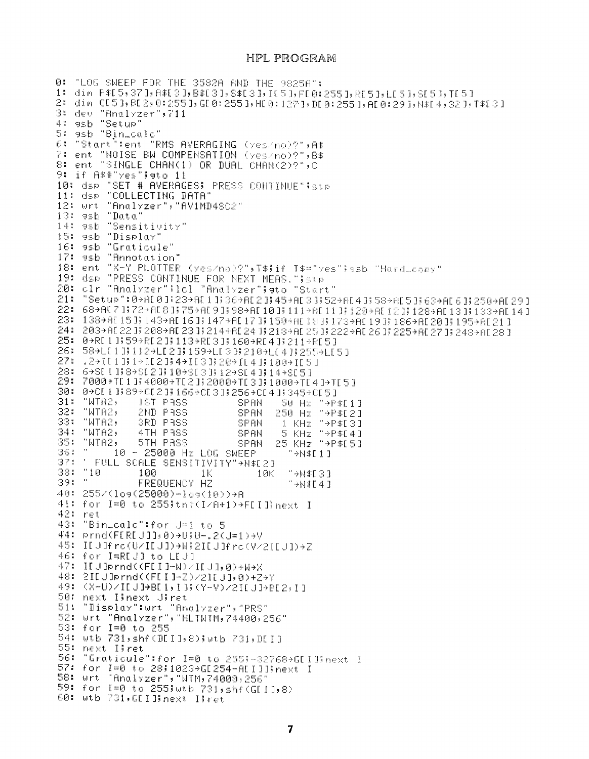#### HPL PROGRAM

```
0: "LOG SWEEP FOR THE 3582A AND THE 9825A":
1: din P#[5,37], A#[3], B#[3], S#[3], I[5], F[0:255], R[5], L[5], S[5], T[5]
2: din CI53, BI2, 0:2553, GI0:2553, HI0:1273, DI0:2553, AI0:293, N#I4, 323, T#I33
3: dev "Analyzer", 711
4: asb "Setup"
5: asb "Bin_calc"
6: "Start":ent "RMS AVERAGING (yes/no)?",A$
7: ent "NOISE BN COMPENSATION (yes/no)?", B$
8: ent "SINGLE CHAN(1) OR DUAL CHAN(2)?",C
9: if A##"yes";eto 11
10: dsp "SET # AVERAGES; PRESS CONTINUE"; stp
11: dsp "COLLECTING DATA"
12: Wrt "Analyzer", "AV1MD4SC2"
13: esb "Data"
14: 9sb "Sensitivity"
15: asb "Display"
16: asb "Graticule"
17: 9sb "Annotation"
18: ent "X-Y PLOTTER (yes/no)?", T$;if T$="yes"; asb "Hard_copy"
19: dsp "PRESS CONTINUE FOR NEXT MEAS. "istp
20: clr "Analyzer"; icl "Analyzer"; ato "Start"
21: "Setup":0+AD0J:23+AD1336+AD2345+AD+AD3352+AD43558+AD5363+AD63;250+AD293
22: 68→AD7 JJ72→AD8 JJ75→AD9 JJ98→AD10 JJ111→AD11 JJ120→AD12 JJ128→AD13 JJ133→AD14 J
23: 138+AE151;143+AE161;147+AE171;150+AE181;173+AE191;186+AE201;195+AE211
24: 203→AE22 JF208→AE23 JF214→AE24 JF218→AE25 JF222→AE26 JF225→AE27 JF248→AE28 J
25: 0+RE1 J(59+RE2 I(113+RE3 I(160+RE4 I(211+RE5 I
26: 58+LE11;112+LE21;159+LE33;210+LE41;255+LE51
27: 29IC13(19IC23(49IC33(209IC43(1009IC5)
28: 6+SE11F8+SE23F10+SE33F12+SE43F14+SE53
29: 7000+TE13:4000+TE23:2000+TE33:1000+TE43+TE53
30: 0+CL1 1:89+CL2 1:166+CL3 1:256+CL4 1:345+CL5 1
31: "WTA2,
              1ST PASS
                                SPAN
                                       50 Hz "+P$F11
                                      250 Hz "+P$[2]
32: "WTA2,
              2ND PASS
                                SPAN
33: "WTA2,
                                       1 KHz "+P#[3]
              GRD PASS
                                SPAN
34: "WTA2,
              4TH PRSS
                                       5 KHz "+P$[4]
                                SPAN
35: "WTA2,
                                      25 KHz "+P$[5]
              5TH PASS
                                SPAN
36: "
         10 - 25000 Hz LOG SWEEP
                                         Lility<sup>"</sup>
37: ' FULL SCALE SENSITIVITY"+N$[2]
381 - 10T \odot 1#H+"
              100
                         1<sup>k</sup>10K
39: "<sup>1</sup>
                                        " + N * [4]FREQUENCY HZ
40: 255/(log(25000)-log(10))+A
41: for I=0 to 255;tht(I/A+1)+FII]}next I
42: ret
43: "BinLoald":for J=1 to 5
44: prnd(FIREJ]];0)+U}U-.2(J=1)+V
45: IEUJfro(U/IEUJ)+W$2IEUJfro(V/2IEUJ)+Z
46: for IBREUD to LEUD
47: IDJDPrnd((FDI0-W)/IDJ1,0)+W+X
48: 2IEUIprnd((FEII-2)/2IEUI,0)+Z+Y
49: (X-U)/IEU1+BE1,11;(Y-V)/2IEU1+BE2,11
50: next Ilnext Jiret
51: "Display":wrt "Analyzer", "PRS"<br>52: wrt "Analyzer", "HLTMTM, 74400, 256"
53: for I=0 to 255
54: wtb 731, shf(DII1,8); wtb 731, DII1
55: next Ilret
56:
    "Graticule":for I=0 to 255;-32768+GIIlinext I
57: for I=0 to 28;1023+GI254-ALIJJ;next I
58: wrt "Analyzer", "WTM, 74000, 256'
59: for I=0 to 255; wtb 731, shf (GII1,8)
60: wtb 731, GEI Hinext Ilret
```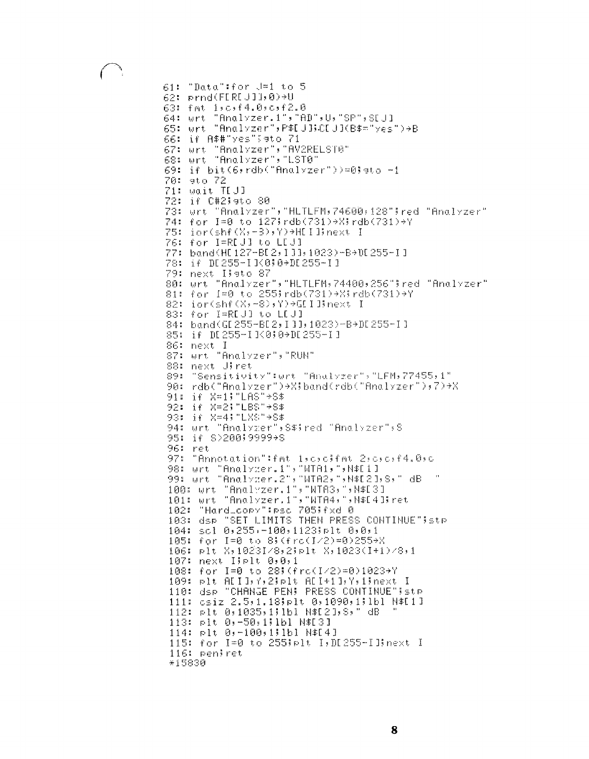```
61: "Data":for J=1 to 5
62: prnd(FDRDJ])0)+U
63: fnt 1,0,f4.0,c,f2.0
        "Analyzer.i", "AD", U, "SP", SEU1
64: urt
65: urt "Analyzer", P#IJBCIJI(B#="yes")+B
66: if A##"yes"!9to 71
67: Wrt "Analyzer", "AV2RELST0"
68: wrt "Analyzer", "LST0"
69: if bit(6, rdb("Analyzer"))=0; ato -1
70: 9to 72
71: wait TEJJ
72: if C#2!eto 80
73: Urt "Analyzer", "HLTLFM, 74600, 128"; red "Analyzer"
74: for I=0 to 127;rdb(731)+X;rdb(731)+Y
75: ior(shf(X)-3),Y)+HEIJInext I
76: for I=R[U] to L[U]
77: band(HI127-BI2,111,1023)-B+0I255-I1
78: if DI255-IJ<0;0+DI255-II
79: next Ilsto 87
80: Wrt "Analyzer", "HLTLFM, 74400, 256"; red "Analyzer"
81: for I=0 to 255;rdb(731)+X;rdb(731)+Y
82: ior(shf(X,-8),Y)+GIIBnext I
83: for I=R[J] to L[J]
84: band(GI 255-BI 2, I 11, 1023)-8+DI 255-11
85: if DI255-II<0;0+DI255-II
86: next I
87: wrt "Analyzer", "RUN"
88: next Uiret
89: "Sensitivity":wrt "Analyzer", "LFM, 77455, 1"
90: rdb("Analyzer")+X;band(rdb("Analyzer");7)+X
91: if X=1; "LAS" * 8*
92: if X=2; "LBS"+8$
93: if X=4; "LXS"+S$
94: urt "Analyzer", S#Fred "Analyzer", S
95: 14 8>20019999+8
96: ret
97: "Annotation":fat licitifat 2:c:c:f4.0:c
98: Wrt "Analyzer.1", "WTA1, ", N#E1]
99: urt "Analyzer.2": "MTA2; ":N$E2]:S: " dB
100: Urt "Analyzer.1", "WTAS, ", N#ESJ
101: urt "Analyzer.1", "WTA4, ", M#E4 Bret
102: "HardLoopy":psc 705;fxd 0
103: dsp "SET LIMITS THEN PRESS CONTINUE" istp
104: scl 0,255,-100,1123;plt 0,0,1
105: for I=0 to 8; (fra(I/2)=0)255+X
106: plt X,1023I/8,2;plt X,1023(I+1)/8,1
107: next Iiplt 0.0.1
108: for I=0 to 28%(fra(I/2)=0)1023+Y
109: plt ADID, Y, 20plt ADI+10, Y, 10next I
110: dsp "CHANGE PEN! PRESS CONTINUE"'stp
111: csiz 2.5,1.18;plt 0,1090,1;1bl N#[1]
112: plt 0,1035,1;1bl M$[2],8," dB
113: plt 0,-50,1;1bl N$[3]
114: plt 0,-100,1;1bl N$[4]
115: for I=0 to 255;plt I, DI255-IB:next I
116: peniret
*15830
```